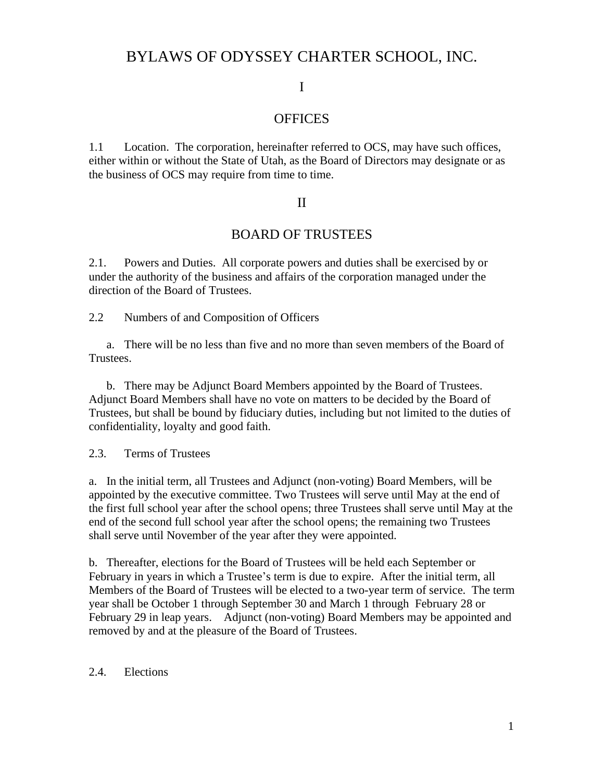# BYLAWS OF ODYSSEY CHARTER SCHOOL, INC.

## I

## **OFFICES**

1.1 Location. The corporation, hereinafter referred to OCS, may have such offices, either within or without the State of Utah, as the Board of Directors may designate or as the business of OCS may require from time to time.

### II

## BOARD OF TRUSTEES

2.1. Powers and Duties. All corporate powers and duties shall be exercised by or under the authority of the business and affairs of the corporation managed under the direction of the Board of Trustees.

2.2 Numbers of and Composition of Officers

a. There will be no less than five and no more than seven members of the Board of Trustees.

b. There may be Adjunct Board Members appointed by the Board of Trustees. Adjunct Board Members shall have no vote on matters to be decided by the Board of Trustees, but shall be bound by fiduciary duties, including but not limited to the duties of confidentiality, loyalty and good faith.

2.3. Terms of Trustees

a. In the initial term, all Trustees and Adjunct (non-voting) Board Members, will be appointed by the executive committee. Two Trustees will serve until May at the end of the first full school year after the school opens; three Trustees shall serve until May at the end of the second full school year after the school opens; the remaining two Trustees shall serve until November of the year after they were appointed.

b. Thereafter, elections for the Board of Trustees will be held each September or February in years in which a Trustee's term is due to expire. After the initial term, all Members of the Board of Trustees will be elected to a two-year term of service. The term year shall be October 1 through September 30 and March 1 through February 28 or February 29 in leap years. Adjunct (non-voting) Board Members may be appointed and removed by and at the pleasure of the Board of Trustees.

### 2.4. Elections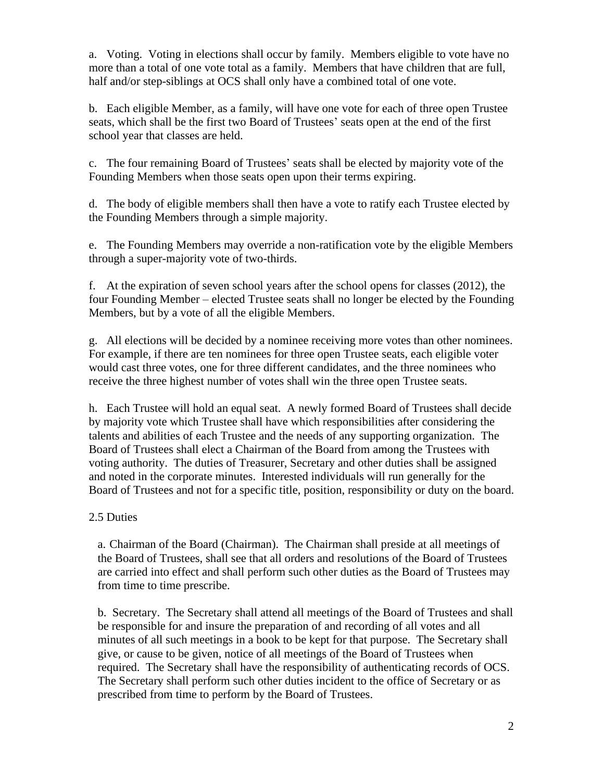a. Voting. Voting in elections shall occur by family. Members eligible to vote have no more than a total of one vote total as a family. Members that have children that are full, half and/or step-siblings at OCS shall only have a combined total of one vote.

b. Each eligible Member, as a family, will have one vote for each of three open Trustee seats, which shall be the first two Board of Trustees' seats open at the end of the first school year that classes are held.

c. The four remaining Board of Trustees' seats shall be elected by majority vote of the Founding Members when those seats open upon their terms expiring.

d. The body of eligible members shall then have a vote to ratify each Trustee elected by the Founding Members through a simple majority.

e. The Founding Members may override a non-ratification vote by the eligible Members through a super-majority vote of two-thirds.

f. At the expiration of seven school years after the school opens for classes (2012), the four Founding Member – elected Trustee seats shall no longer be elected by the Founding Members, but by a vote of all the eligible Members.

g. All elections will be decided by a nominee receiving more votes than other nominees. For example, if there are ten nominees for three open Trustee seats, each eligible voter would cast three votes, one for three different candidates, and the three nominees who receive the three highest number of votes shall win the three open Trustee seats.

h. Each Trustee will hold an equal seat. A newly formed Board of Trustees shall decide by majority vote which Trustee shall have which responsibilities after considering the talents and abilities of each Trustee and the needs of any supporting organization. The Board of Trustees shall elect a Chairman of the Board from among the Trustees with voting authority. The duties of Treasurer, Secretary and other duties shall be assigned and noted in the corporate minutes. Interested individuals will run generally for the Board of Trustees and not for a specific title, position, responsibility or duty on the board.

## 2.5 Duties

a. Chairman of the Board (Chairman). The Chairman shall preside at all meetings of the Board of Trustees, shall see that all orders and resolutions of the Board of Trustees are carried into effect and shall perform such other duties as the Board of Trustees may from time to time prescribe.

b. Secretary. The Secretary shall attend all meetings of the Board of Trustees and shall be responsible for and insure the preparation of and recording of all votes and all minutes of all such meetings in a book to be kept for that purpose. The Secretary shall give, or cause to be given, notice of all meetings of the Board of Trustees when required. The Secretary shall have the responsibility of authenticating records of OCS. The Secretary shall perform such other duties incident to the office of Secretary or as prescribed from time to perform by the Board of Trustees.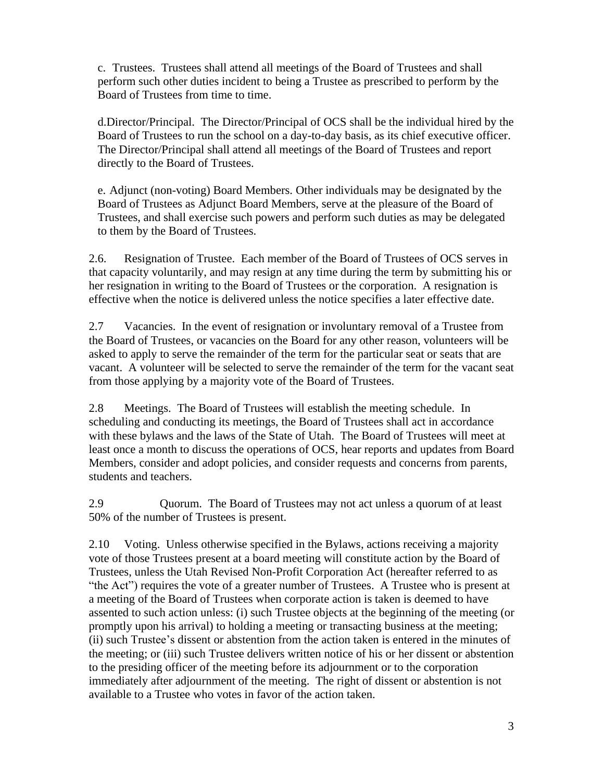c. Trustees. Trustees shall attend all meetings of the Board of Trustees and shall perform such other duties incident to being a Trustee as prescribed to perform by the Board of Trustees from time to time.

d.Director/Principal. The Director/Principal of OCS shall be the individual hired by the Board of Trustees to run the school on a day-to-day basis, as its chief executive officer. The Director/Principal shall attend all meetings of the Board of Trustees and report directly to the Board of Trustees.

e. Adjunct (non-voting) Board Members. Other individuals may be designated by the Board of Trustees as Adjunct Board Members, serve at the pleasure of the Board of Trustees, and shall exercise such powers and perform such duties as may be delegated to them by the Board of Trustees.

2.6. Resignation of Trustee. Each member of the Board of Trustees of OCS serves in that capacity voluntarily, and may resign at any time during the term by submitting his or her resignation in writing to the Board of Trustees or the corporation. A resignation is effective when the notice is delivered unless the notice specifies a later effective date.

2.7 Vacancies. In the event of resignation or involuntary removal of a Trustee from the Board of Trustees, or vacancies on the Board for any other reason, volunteers will be asked to apply to serve the remainder of the term for the particular seat or seats that are vacant. A volunteer will be selected to serve the remainder of the term for the vacant seat from those applying by a majority vote of the Board of Trustees.

2.8 Meetings. The Board of Trustees will establish the meeting schedule. In scheduling and conducting its meetings, the Board of Trustees shall act in accordance with these bylaws and the laws of the State of Utah. The Board of Trustees will meet at least once a month to discuss the operations of OCS, hear reports and updates from Board Members, consider and adopt policies, and consider requests and concerns from parents, students and teachers.

2.9 Quorum. The Board of Trustees may not act unless a quorum of at least 50% of the number of Trustees is present.

2.10 Voting. Unless otherwise specified in the Bylaws, actions receiving a majority vote of those Trustees present at a board meeting will constitute action by the Board of Trustees, unless the Utah Revised Non-Profit Corporation Act (hereafter referred to as "the Act") requires the vote of a greater number of Trustees. A Trustee who is present at a meeting of the Board of Trustees when corporate action is taken is deemed to have assented to such action unless: (i) such Trustee objects at the beginning of the meeting (or promptly upon his arrival) to holding a meeting or transacting business at the meeting; (ii) such Trustee's dissent or abstention from the action taken is entered in the minutes of the meeting; or (iii) such Trustee delivers written notice of his or her dissent or abstention to the presiding officer of the meeting before its adjournment or to the corporation immediately after adjournment of the meeting. The right of dissent or abstention is not available to a Trustee who votes in favor of the action taken.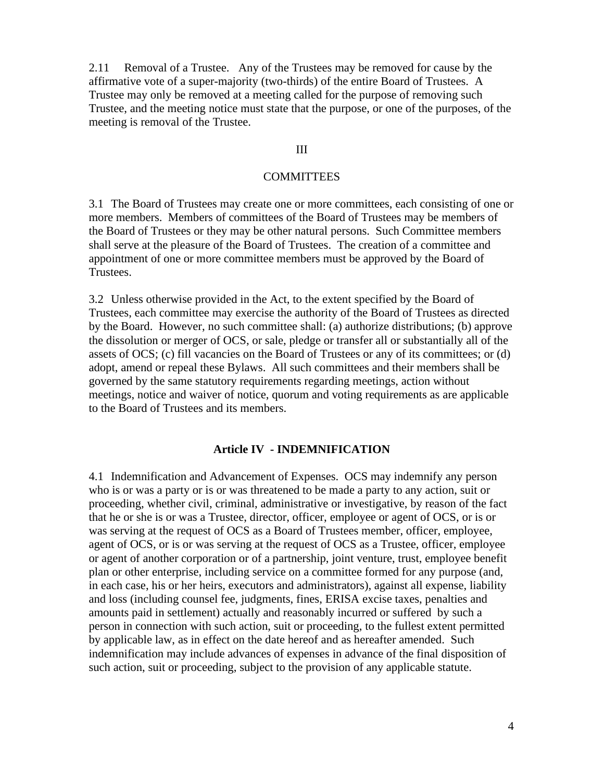2.11 Removal of a Trustee. Any of the Trustees may be removed for cause by the affirmative vote of a super-majority (two-thirds) of the entire Board of Trustees. A Trustee may only be removed at a meeting called for the purpose of removing such Trustee, and the meeting notice must state that the purpose, or one of the purposes, of the meeting is removal of the Trustee.

#### III

#### **COMMITTEES**

3.1 The Board of Trustees may create one or more committees, each consisting of one or more members. Members of committees of the Board of Trustees may be members of the Board of Trustees or they may be other natural persons. Such Committee members shall serve at the pleasure of the Board of Trustees. The creation of a committee and appointment of one or more committee members must be approved by the Board of Trustees.

3.2 Unless otherwise provided in the Act, to the extent specified by the Board of Trustees, each committee may exercise the authority of the Board of Trustees as directed by the Board. However, no such committee shall: (a) authorize distributions; (b) approve the dissolution or merger of OCS, or sale, pledge or transfer all or substantially all of the assets of OCS; (c) fill vacancies on the Board of Trustees or any of its committees; or (d) adopt, amend or repeal these Bylaws. All such committees and their members shall be governed by the same statutory requirements regarding meetings, action without meetings, notice and waiver of notice, quorum and voting requirements as are applicable to the Board of Trustees and its members.

### **Article IV - INDEMNIFICATION**

4.1 Indemnification and Advancement of Expenses. OCS may indemnify any person who is or was a party or is or was threatened to be made a party to any action, suit or proceeding, whether civil, criminal, administrative or investigative, by reason of the fact that he or she is or was a Trustee, director, officer, employee or agent of OCS, or is or was serving at the request of OCS as a Board of Trustees member, officer, employee, agent of OCS, or is or was serving at the request of OCS as a Trustee, officer, employee or agent of another corporation or of a partnership, joint venture, trust, employee benefit plan or other enterprise, including service on a committee formed for any purpose (and, in each case, his or her heirs, executors and administrators), against all expense, liability and loss (including counsel fee, judgments, fines, ERISA excise taxes, penalties and amounts paid in settlement) actually and reasonably incurred or suffered by such a person in connection with such action, suit or proceeding, to the fullest extent permitted by applicable law, as in effect on the date hereof and as hereafter amended. Such indemnification may include advances of expenses in advance of the final disposition of such action, suit or proceeding, subject to the provision of any applicable statute.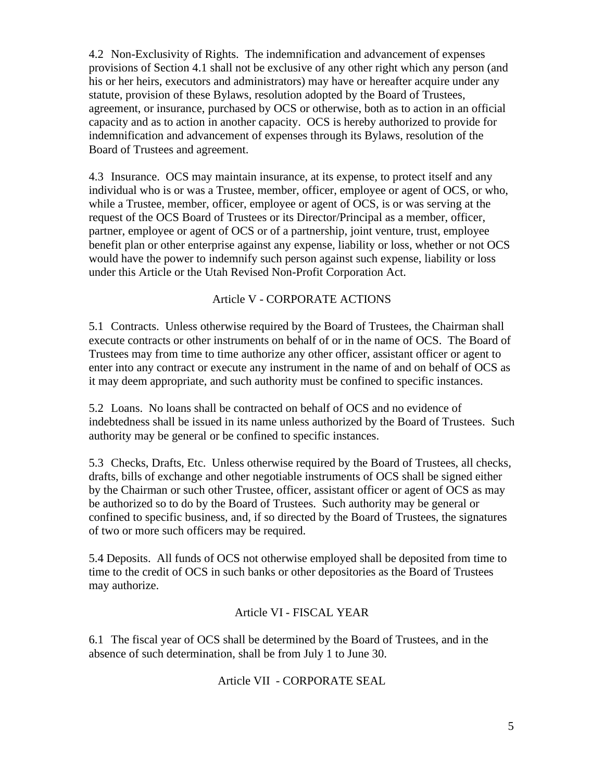4.2 Non-Exclusivity of Rights. The indemnification and advancement of expenses provisions of Section 4.1 shall not be exclusive of any other right which any person (and his or her heirs, executors and administrators) may have or hereafter acquire under any statute, provision of these Bylaws, resolution adopted by the Board of Trustees, agreement, or insurance, purchased by OCS or otherwise, both as to action in an official capacity and as to action in another capacity. OCS is hereby authorized to provide for indemnification and advancement of expenses through its Bylaws, resolution of the Board of Trustees and agreement.

4.3 Insurance. OCS may maintain insurance, at its expense, to protect itself and any individual who is or was a Trustee, member, officer, employee or agent of OCS, or who, while a Trustee, member, officer, employee or agent of OCS, is or was serving at the request of the OCS Board of Trustees or its Director/Principal as a member, officer, partner, employee or agent of OCS or of a partnership, joint venture, trust, employee benefit plan or other enterprise against any expense, liability or loss, whether or not OCS would have the power to indemnify such person against such expense, liability or loss under this Article or the Utah Revised Non-Profit Corporation Act.

## Article V - CORPORATE ACTIONS

5.1 Contracts. Unless otherwise required by the Board of Trustees, the Chairman shall execute contracts or other instruments on behalf of or in the name of OCS. The Board of Trustees may from time to time authorize any other officer, assistant officer or agent to enter into any contract or execute any instrument in the name of and on behalf of OCS as it may deem appropriate, and such authority must be confined to specific instances.

5.2 Loans. No loans shall be contracted on behalf of OCS and no evidence of indebtedness shall be issued in its name unless authorized by the Board of Trustees. Such authority may be general or be confined to specific instances.

5.3 Checks, Drafts, Etc. Unless otherwise required by the Board of Trustees, all checks, drafts, bills of exchange and other negotiable instruments of OCS shall be signed either by the Chairman or such other Trustee, officer, assistant officer or agent of OCS as may be authorized so to do by the Board of Trustees. Such authority may be general or confined to specific business, and, if so directed by the Board of Trustees, the signatures of two or more such officers may be required.

5.4 Deposits. All funds of OCS not otherwise employed shall be deposited from time to time to the credit of OCS in such banks or other depositories as the Board of Trustees may authorize.

## Article VI - FISCAL YEAR

6.1 The fiscal year of OCS shall be determined by the Board of Trustees, and in the absence of such determination, shall be from July 1 to June 30.

### Article VII - CORPORATE SEAL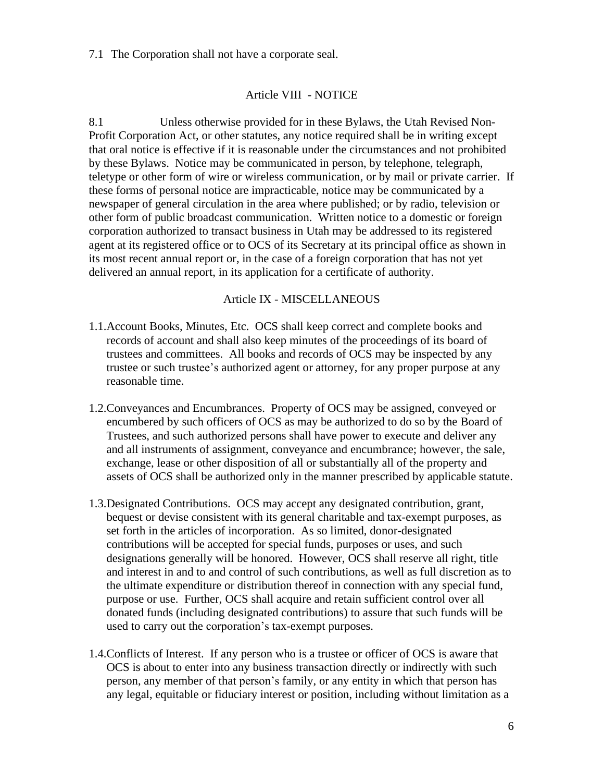7.1 The Corporation shall not have a corporate seal.

## Article VIII - NOTICE

8.1 Unless otherwise provided for in these Bylaws, the Utah Revised Non-Profit Corporation Act, or other statutes, any notice required shall be in writing except that oral notice is effective if it is reasonable under the circumstances and not prohibited by these Bylaws. Notice may be communicated in person, by telephone, telegraph, teletype or other form of wire or wireless communication, or by mail or private carrier. If these forms of personal notice are impracticable, notice may be communicated by a newspaper of general circulation in the area where published; or by radio, television or other form of public broadcast communication. Written notice to a domestic or foreign corporation authorized to transact business in Utah may be addressed to its registered agent at its registered office or to OCS of its Secretary at its principal office as shown in its most recent annual report or, in the case of a foreign corporation that has not yet delivered an annual report, in its application for a certificate of authority.

### Article IX - MISCELLANEOUS

- 1.1.Account Books, Minutes, Etc. OCS shall keep correct and complete books and records of account and shall also keep minutes of the proceedings of its board of trustees and committees. All books and records of OCS may be inspected by any trustee or such trustee's authorized agent or attorney, for any proper purpose at any reasonable time.
- 1.2.Conveyances and Encumbrances. Property of OCS may be assigned, conveyed or encumbered by such officers of OCS as may be authorized to do so by the Board of Trustees, and such authorized persons shall have power to execute and deliver any and all instruments of assignment, conveyance and encumbrance; however, the sale, exchange, lease or other disposition of all or substantially all of the property and assets of OCS shall be authorized only in the manner prescribed by applicable statute.
- 1.3.Designated Contributions. OCS may accept any designated contribution, grant, bequest or devise consistent with its general charitable and tax-exempt purposes, as set forth in the articles of incorporation. As so limited, donor-designated contributions will be accepted for special funds, purposes or uses, and such designations generally will be honored. However, OCS shall reserve all right, title and interest in and to and control of such contributions, as well as full discretion as to the ultimate expenditure or distribution thereof in connection with any special fund, purpose or use. Further, OCS shall acquire and retain sufficient control over all donated funds (including designated contributions) to assure that such funds will be used to carry out the corporation's tax-exempt purposes.
- 1.4.Conflicts of Interest. If any person who is a trustee or officer of OCS is aware that OCS is about to enter into any business transaction directly or indirectly with such person, any member of that person's family, or any entity in which that person has any legal, equitable or fiduciary interest or position, including without limitation as a